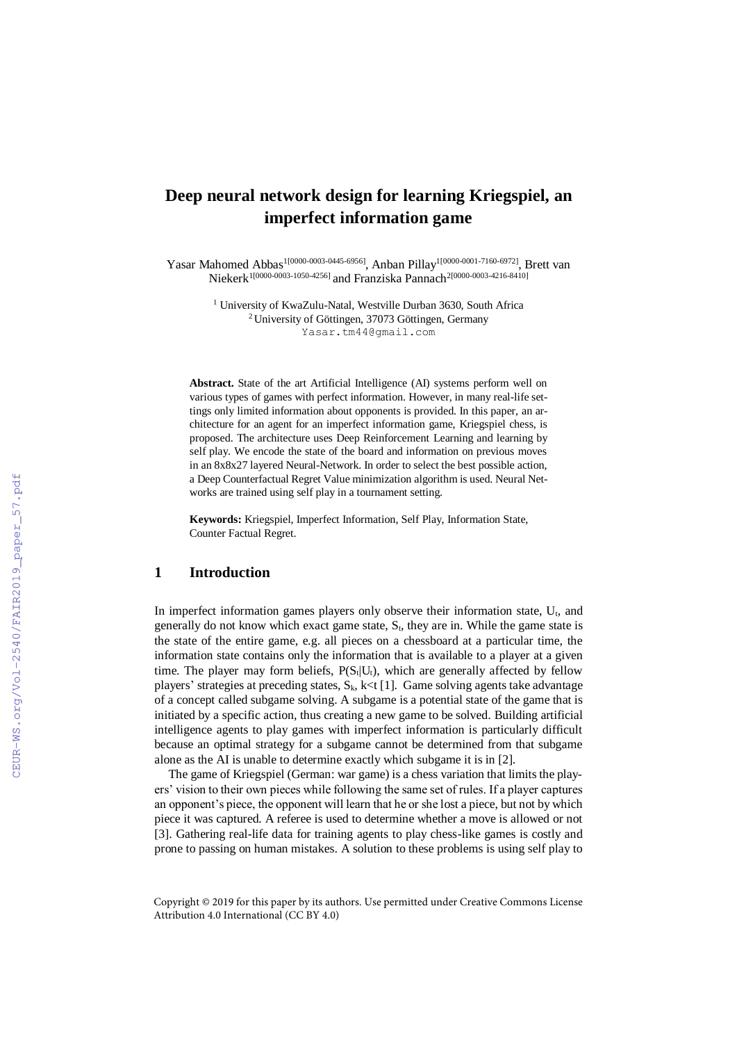# **Deep neural network design for learning Kriegspiel, an imperfect information game**

Yasar Mahomed Abbas<sup>1[0000-0003-0445-6956]</sup>, Anban Pillay<sup>1[0000-0001-7160-6972]</sup>, Brett van Niekerk<sup>1[0000-0003-1050-4256]</sup> and Franziska Pannach<sup>2[0000-0003-4216-8410]</sup>

> <sup>1</sup> University of KwaZulu-Natal, Westville Durban 3630, South Africa <sup>2</sup>University of Göttingen, 37073 Göttingen, Germany Yasar.tm44@gmail.com

**Abstract.** State of the art Artificial Intelligence (AI) systems perform well on various types of games with perfect information. However, in many real-life settings only limited information about opponents is provided. In this paper, an architecture for an agent for an imperfect information game, Kriegspiel chess, is proposed. The architecture uses Deep Reinforcement Learning and learning by self play. We encode the state of the board and information on previous moves in an 8x8x27 layered Neural-Network. In order to select the best possible action, a Deep Counterfactual Regret Value minimization algorithm is used. Neural Networks are trained using self play in a tournament setting.

**Keywords:** Kriegspiel, Imperfect Information, Self Play, Information State, Counter Factual Regret.

#### **1 Introduction**

In imperfect information games players only observe their information state,  $U_t$ , and generally do not know which exact game state,  $S_t$ , they are in. While the game state is the state of the entire game, e.g. all pieces on a chessboard at a particular time, the information state contains only the information that is available to a player at a given time. The player may form beliefs,  $P(S_t|U_t)$ , which are generally affected by fellow players' strategies at preceding states,  $S_k$ , k<t [1]. Game solving agents take advantage of a concept called subgame solving. A subgame is a potential state of the game that is initiated by a specific action, thus creating a new game to be solved. Building artificial intelligence agents to play games with imperfect information is particularly difficult because an optimal strategy for a subgame cannot be determined from that subgame alone as the AI is unable to determine exactly which subgame it is in [2].

The game of Kriegspiel (German: war game) is a chess variation that limits the players' vision to their own pieces while following the same set of rules. If a player captures an opponent's piece, the opponent will learn that he or she lost a piece, but not by which piece it was captured. A referee is used to determine whether a move is allowed or not [3]. Gathering real-life data for training agents to play chess-like games is costly and prone to passing on human mistakes. A solution to these problems is using self play to

Copyright © 2019 for this paper by its authors. Use permitted under Creative Commons License Attribution 4.0 International (CC BY 4.0)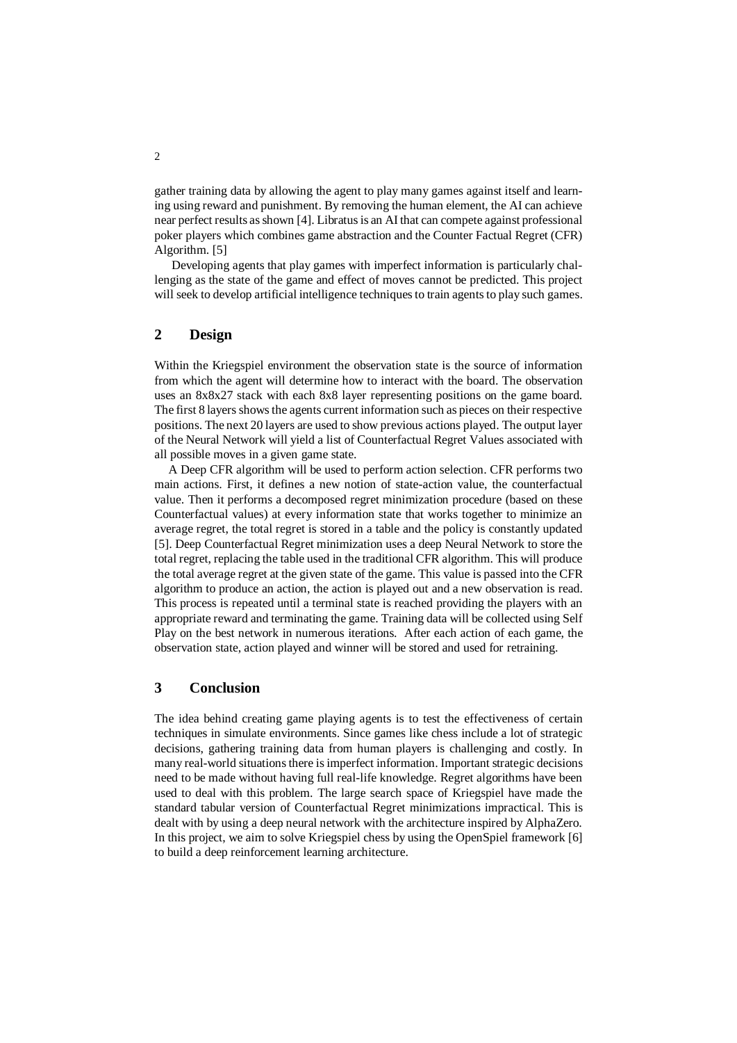gather training data by allowing the agent to play many games against itself and learning using reward and punishment. By removing the human element, the AI can achieve near perfect results as shown [4]. Libratus is an AI that can compete against professional poker players which combines game abstraction and the Counter Factual Regret (CFR) Algorithm. [5]

Developing agents that play games with imperfect information is particularly challenging as the state of the game and effect of moves cannot be predicted. This project will seek to develop artificial intelligence techniques to train agents to play such games.

## **2 Design**

Within the Kriegspiel environment the observation state is the source of information from which the agent will determine how to interact with the board. The observation uses an 8x8x27 stack with each 8x8 layer representing positions on the game board. The first 8 layers shows the agents current information such as pieces on their respective positions. The next 20 layers are used to show previous actions played. The output layer of the Neural Network will yield a list of Counterfactual Regret Values associated with all possible moves in a given game state.

A Deep CFR algorithm will be used to perform action selection. CFR performs two main actions. First, it defines a new notion of state-action value, the counterfactual value. Then it performs a decomposed regret minimization procedure (based on these Counterfactual values) at every information state that works together to minimize an average regret, the total regret is stored in a table and the policy is constantly updated [5]. Deep Counterfactual Regret minimization uses a deep Neural Network to store the total regret, replacing the table used in the traditional CFR algorithm. This will produce the total average regret at the given state of the game. This value is passed into the CFR algorithm to produce an action, the action is played out and a new observation is read. This process is repeated until a terminal state is reached providing the players with an appropriate reward and terminating the game. Training data will be collected using Self Play on the best network in numerous iterations. After each action of each game, the observation state, action played and winner will be stored and used for retraining.

#### **3 Conclusion**

The idea behind creating game playing agents is to test the effectiveness of certain techniques in simulate environments. Since games like chess include a lot of strategic decisions, gathering training data from human players is challenging and costly. In many real-world situations there is imperfect information. Important strategic decisions need to be made without having full real-life knowledge. Regret algorithms have been used to deal with this problem. The large search space of Kriegspiel have made the standard tabular version of Counterfactual Regret minimizations impractical. This is dealt with by using a deep neural network with the architecture inspired by AlphaZero. In this project, we aim to solve Kriegspiel chess by using the OpenSpiel framework [6] to build a deep reinforcement learning architecture.